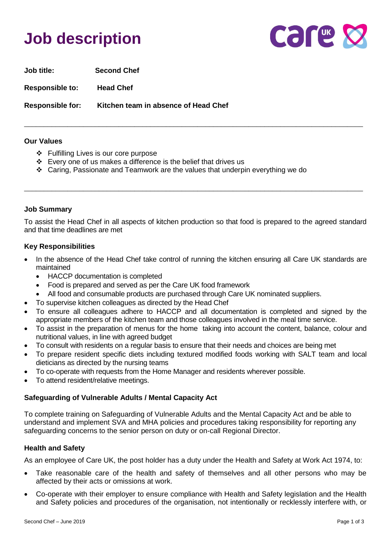# **Job description**



**Job title: Second Chef**

**Responsible to: Head Chef** 

**Responsible for: Kitchen team in absence of Head Chef**

#### **Our Values**

- ❖ Fulfilling Lives is our core purpose
- ❖ Every one of us makes a difference is the belief that drives us
- ❖ Caring, Passionate and Teamwork are the values that underpin everything we do

## **Job Summary**

To assist the Head Chef in all aspects of kitchen production so that food is prepared to the agreed standard and that time deadlines are met

\_\_\_\_\_\_\_\_\_\_\_\_\_\_\_\_\_\_\_\_\_\_\_\_\_\_\_\_\_\_\_\_\_\_\_\_\_\_\_\_\_\_\_\_\_\_\_\_\_\_\_\_\_\_\_\_\_\_\_\_\_\_\_\_\_\_\_\_\_\_\_\_\_\_\_\_\_\_\_\_\_\_\_\_\_\_

\_\_\_\_\_\_\_\_\_\_\_\_\_\_\_\_\_\_\_\_\_\_\_\_\_\_\_\_\_\_\_\_\_\_\_\_\_\_\_\_\_\_\_\_\_\_\_\_\_\_\_\_\_\_\_\_\_\_\_\_\_\_\_\_\_\_\_\_\_\_\_\_\_\_\_\_\_\_\_\_\_\_\_\_\_\_

## **Key Responsibilities**

- In the absence of the Head Chef take control of running the kitchen ensuring all Care UK standards are maintained
	- HACCP documentation is completed
	- Food is prepared and served as per the Care UK food framework
	- All food and consumable products are purchased through Care UK nominated suppliers.
- To supervise kitchen colleagues as directed by the Head Chef
- To ensure all colleagues adhere to HACCP and all documentation is completed and signed by the appropriate members of the kitchen team and those colleagues involved in the meal time service.
- To assist in the preparation of menus for the home taking into account the content, balance, colour and nutritional values, in line with agreed budget
- To consult with residents on a regular basis to ensure that their needs and choices are being met
- To prepare resident specific diets including textured modified foods working with SALT team and local dieticians as directed by the nursing teams
- To co-operate with requests from the Home Manager and residents wherever possible.
- To attend resident/relative meetings.

## **Safeguarding of Vulnerable Adults / Mental Capacity Act**

To complete training on Safeguarding of Vulnerable Adults and the Mental Capacity Act and be able to understand and implement SVA and MHA policies and procedures taking responsibility for reporting any safeguarding concerns to the senior person on duty or on-call Regional Director.

## **Health and Safety**

As an employee of Care UK, the post holder has a duty under the Health and Safety at Work Act 1974, to:

- Take reasonable care of the health and safety of themselves and all other persons who may be affected by their acts or omissions at work.
- Co-operate with their employer to ensure compliance with Health and Safety legislation and the Health and Safety policies and procedures of the organisation, not intentionally or recklessly interfere with, or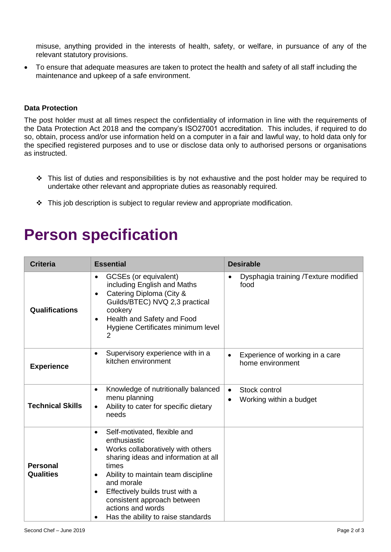misuse, anything provided in the interests of health, safety, or welfare, in pursuance of any of the relevant statutory provisions.

• To ensure that adequate measures are taken to protect the health and safety of all staff including the maintenance and upkeep of a safe environment.

#### **Data Protection**

The post holder must at all times respect the confidentiality of information in line with the requirements of the Data Protection Act 2018 and the company's ISO27001 accreditation. This includes, if required to do so, obtain, process and/or use information held on a computer in a fair and lawful way, to hold data only for the specified registered purposes and to use or disclose data only to authorised persons or organisations as instructed.

- $\div$  This list of duties and responsibilities is by not exhaustive and the post holder may be required to undertake other relevant and appropriate duties as reasonably required.
- ❖ This job description is subject to regular review and appropriate modification.

# **Person specification**

| <b>Criteria</b>                     | <b>Essential</b>                                                                                                                                                                                                                                                                                                                                                 | <b>Desirable</b>                                                   |
|-------------------------------------|------------------------------------------------------------------------------------------------------------------------------------------------------------------------------------------------------------------------------------------------------------------------------------------------------------------------------------------------------------------|--------------------------------------------------------------------|
| Qualifications                      | GCSEs (or equivalent)<br>including English and Maths<br>Catering Diploma (City &<br>$\bullet$<br>Guilds/BTEC) NVQ 2,3 practical<br>cookery<br>Health and Safety and Food<br>$\bullet$<br>Hygiene Certificates minimum level<br>2                                                                                                                                 | Dysphagia training /Texture modified<br>food                       |
| <b>Experience</b>                   | Supervisory experience with in a<br>$\bullet$<br>kitchen environment                                                                                                                                                                                                                                                                                             | Experience of working in a care<br>home environment                |
| <b>Technical Skills</b>             | Knowledge of nutritionally balanced<br>$\bullet$<br>menu planning<br>Ability to cater for specific dietary<br>$\bullet$<br>needs                                                                                                                                                                                                                                 | Stock control<br>$\bullet$<br>Working within a budget<br>$\bullet$ |
| <b>Personal</b><br><b>Qualities</b> | Self-motivated, flexible and<br>$\bullet$<br>enthusiastic<br>Works collaboratively with others<br>$\bullet$<br>sharing ideas and information at all<br>times<br>Ability to maintain team discipline<br>٠<br>and morale<br>Effectively builds trust with a<br>$\bullet$<br>consistent approach between<br>actions and words<br>Has the ability to raise standards |                                                                    |